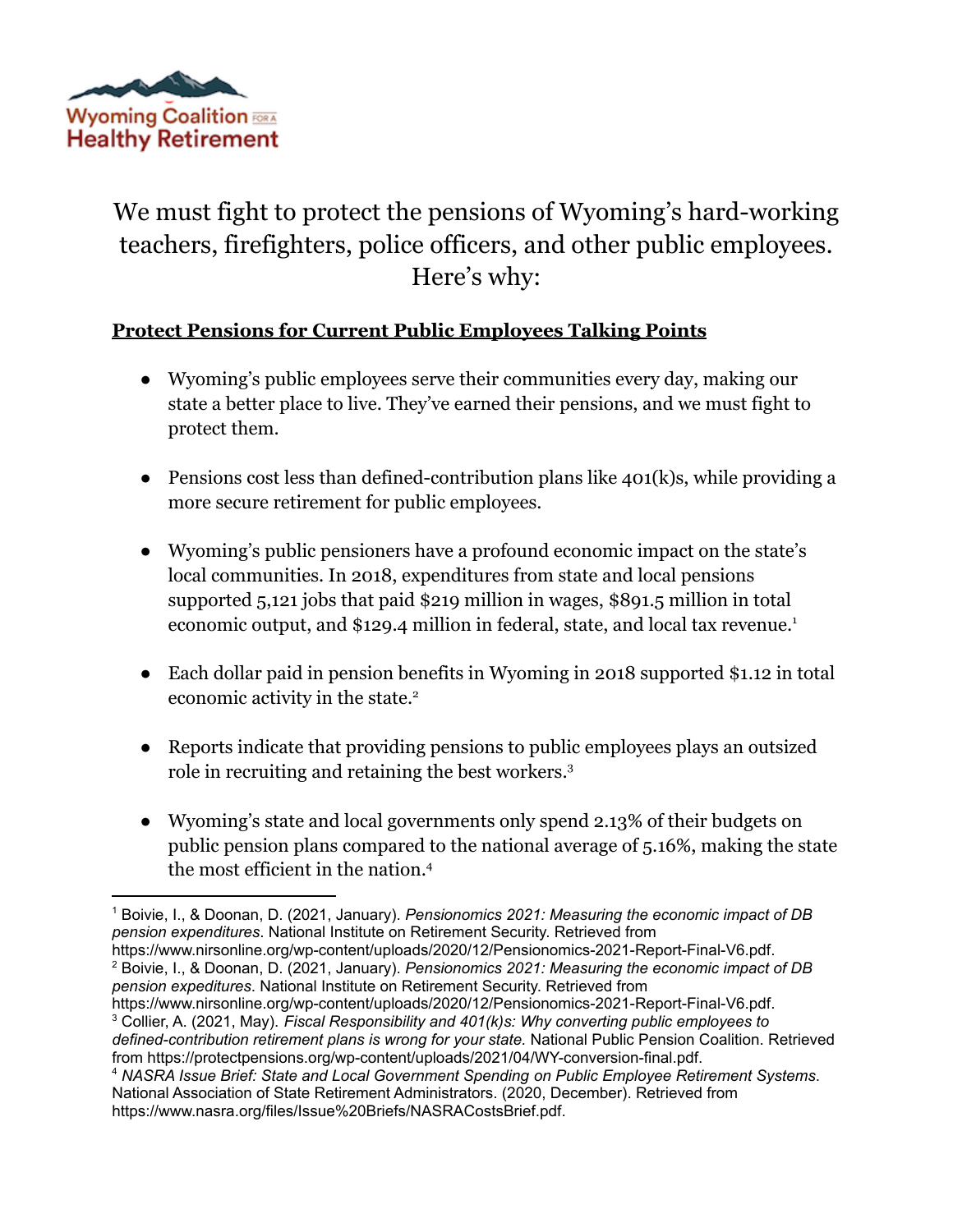

## We must fight to protect the pensions of Wyoming's hard-working teachers, firefighters, police officers, and other public employees. Here's why:

## **Protect Pensions for Current Public Employees Talking Points**

- Wyoming's public employees serve their communities every day, making our state a better place to live. They've earned their pensions, and we must fight to protect them.
- Pensions cost less than defined-contribution plans like  $401(k)s$ , while providing a more secure retirement for public employees.
- Wyoming's public pensioners have a profound economic impact on the state's local communities. In 2018, expenditures from state and local pensions supported 5,121 jobs that paid \$219 million in wages, \$891.5 million in total economic output, and \$129.4 million in federal, state, and local tax revenue.<sup>1</sup>
- Each dollar paid in pension benefits in Wyoming in 2018 supported \$1.12 in total economic activity in the state.<sup>2</sup>
- Reports indicate that providing pensions to public employees plays an outsized role in recruiting and retaining the best workers.<sup>3</sup>
- Wyoming's state and local governments only spend 2.13% of their budgets on public pension plans compared to the national average of 5.16%, making the state the most efficient in the nation.<sup>4</sup>

<sup>2</sup> Boivie, I., & Doonan, D. (2021, January). *Pensionomics 2021: Measuring the economic impact of DB pension expeditures*. National Institute on Retirement Security. Retrieved from https://www.nirsonline.org/wp-content/uploads/2020/12/Pensionomics-2021-Report-Final-V6.pdf.

<sup>3</sup> Collier, A. (2021, May). *Fiscal Responsibility and 401(k)s: Why converting public employees to defined-contribution retirement plans is wrong for your state.* National Public Pension Coalition. Retrieved from https://protectpensions.org/wp-content/uploads/2021/04/WY-conversion-final.pdf. https://www.nirsonline.org/wp-content/uploads/2020/12/Pensionomics-2021-Report-Final-V6.pdf.

<sup>1</sup> Boivie, I., & Doonan, D. (2021, January). *Pensionomics 2021: Measuring the economic impact of DB pension expenditures*. National Institute on Retirement Security. Retrieved from

<sup>4</sup> *NASRA Issue Brief: State and Local Government Spending on Public Employee Retirement Systems*. National Association of State Retirement Administrators. (2020, December). Retrieved from https://www.nasra.org/files/Issue%20Briefs/NASRACostsBrief.pdf.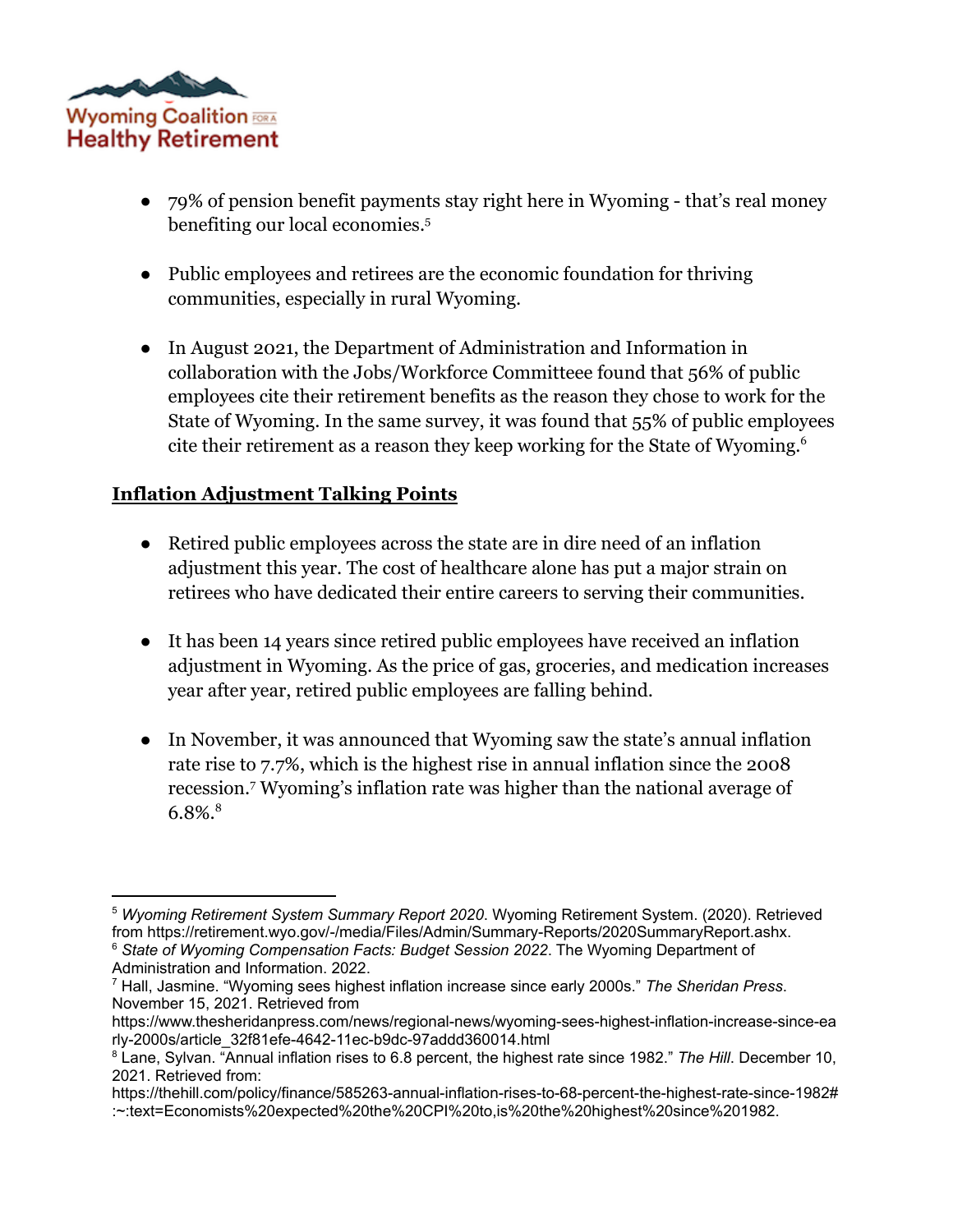

- 79% of pension benefit payments stay right here in Wyoming that's real money benefiting our local economies.<sup>5</sup>
- Public employees and retirees are the economic foundation for thriving communities, especially in rural Wyoming.
- In August 2021, the Department of Administration and Information in collaboration with the Jobs/Workforce Committeee found that 56% of public employees cite their retirement benefits as the reason they chose to work for the State of Wyoming. In the same survey, it was found that 55% of public employees cite their retirement as a reason they keep working for the State of Wyoming.<sup>6</sup>

## **Inflation Adjustment Talking Points**

- Retired public employees across the state are in dire need of an inflation adjustment this year. The cost of healthcare alone has put a major strain on retirees who have dedicated their entire careers to serving their communities.
- It has been 14 years since retired public employees have received an inflation adjustment in Wyoming. As the price of gas, groceries, and medication increases year after year, retired public employees are falling behind.
- In November, it was announced that Wyoming saw the state's annual inflation rate rise to 7.7%, which is the highest rise in annual inflation since the 2008 recession.<sup>7</sup> Wyoming's inflation rate was higher than the national average of  $6.8\%$ .<sup>8</sup>

<sup>6</sup> *State of Wyoming Compensation Facts: Budget Session 2022*. The Wyoming Department of <sup>5</sup> *Wyoming Retirement System Summary Report 2020*. Wyoming Retirement System. (2020). Retrieved from https://retirement.wyo.gov/-/media/Files/Admin/Summary-Reports/2020SummaryReport.ashx.

Administration and Information. 2022.

<sup>7</sup> Hall, Jasmine. "Wyoming sees highest inflation increase since early 2000s." *The Sheridan Press*. November 15, 2021. Retrieved from

https://www.thesheridanpress.com/news/regional-news/wyoming-sees-highest-inflation-increase-since-ea rly-2000s/article\_32f81efe-4642-11ec-b9dc-97addd360014.html

<sup>8</sup> Lane, Sylvan. "Annual inflation rises to 6.8 percent, the highest rate since 1982." *The Hill*. December 10, 2021. Retrieved from:

https://thehill.com/policy/finance/585263-annual-inflation-rises-to-68-percent-the-highest-rate-since-1982# :~:text=Economists%20expected%20the%20CPI%20to,is%20the%20highest%20since%201982.